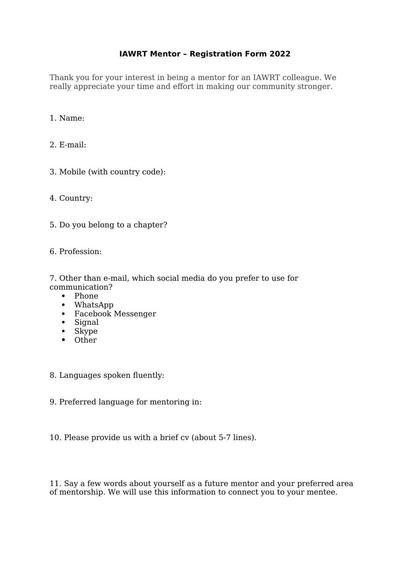## **IAWRT Mentor – Registration Form 2022**

Thank you for your interest in being a mentor for an IAWRT colleague. We really appreciate your time and effort in making our community stronger.

## 1. Name:

- 2. E-mail:
- 3. Mobile (with country code):
- 4. Country:
- 5. Do you belong to a chapter?
- 6. Profession:

7. Other than e-mail, which social media do you prefer to use for communication?

- Phone
- WhatsApp
- Facebook Messenger
- Signal
- Skype
- Other
- 8. Languages spoken fluently:
- 9. Preferred language for mentoring in:
- 10. Please provide us with a brief cv (about 5-7 lines).

11. Say a few words about yourself as a future mentor and your preferred area of mentorship. We will use this information to connect you to your mentee.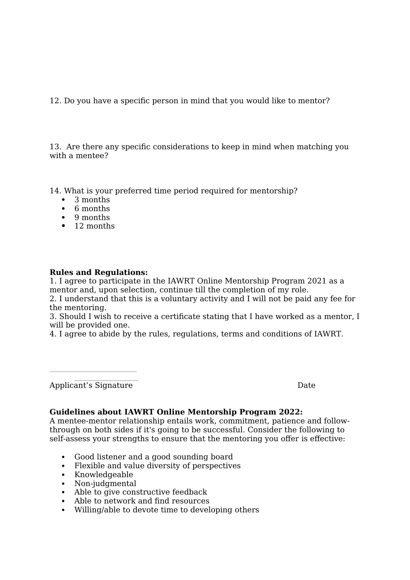12. Do you have a specific person in mind that you would like to mentor?

13. Are there any specific considerations to keep in mind when matching you with a mentee?

14. What is your preferred time period required for mentorship?

- 3 months
- 6 months
- 9 months
- 12 months

## **Rules and Regulations:**

1. I agree to participate in the IAWRT Online Mentorship Program 2021 as a mentor and, upon selection, continue till the completion of my role.

2. I understand that this is a voluntary activity and I will not be paid any fee for the mentoring.

3. Should I wish to receive a certificate stating that I have worked as a mentor, I will be provided one.

4. I agree to abide by the rules, regulations, terms and conditions of IAWRT.

 $\mathcal{L}=\mathcal{L}^{\mathcal{L}}$  , where  $\mathcal{L}^{\mathcal{L}}$ Applicant's Signature Date

\_\_\_\_\_\_\_\_\_\_\_\_\_\_\_\_\_\_\_\_\_\_\_

## **Guidelines about IAWRT Online Mentorship Program 2022:**

A mentee-mentor relationship entails work, commitment, patience and followthrough on both sides if it's going to be successful. Consider the following to self-assess your strengths to ensure that the mentoring you offer is effective:

- Good listener and a good sounding board
- Flexible and value diversity of perspectives
- Knowledgeable
- Non-judgmental
- Able to give constructive feedback
- Able to network and find resources
- Willing/able to devote time to developing others